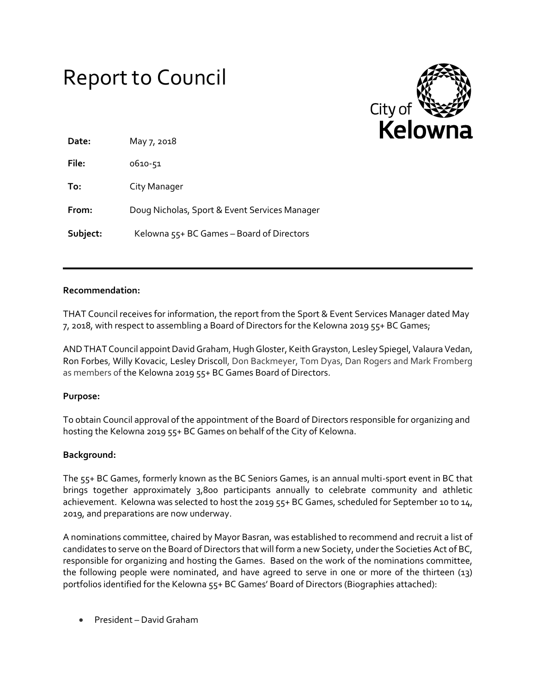# Report to Council



| Date:    | May 7, 2018                                   |
|----------|-----------------------------------------------|
| File:    | 0610-51                                       |
| To:      | City Manager                                  |
| From:    | Doug Nicholas, Sport & Event Services Manager |
| Subject: | Kelowna 55+ BC Games – Board of Directors     |

## **Recommendation:**

THAT Council receives for information, the report from the Sport & Event Services Manager dated May 7, 2018, with respect to assembling a Board of Directors for the Kelowna 2019 55+ BC Games;

AND THAT Council appointDavid Graham, Hugh Gloster, Keith Grayston, Lesley Spiegel, Valaura Vedan, Ron Forbes, Willy Kovacic, Lesley Driscoll, Don Backmeyer, Tom Dyas, Dan Rogers and Mark Fromberg as members of the Kelowna 2019 55+ BC Games Board of Directors.

# **Purpose:**

To obtain Council approval of the appointment of the Board of Directors responsible for organizing and hosting the Kelowna 2019 55+ BC Games on behalf of the City of Kelowna.

# **Background:**

The 55+ BC Games, formerly known as the BC Seniors Games, is an annual multi-sport event in BC that brings together approximately 3,800 participants annually to celebrate community and athletic achievement. Kelowna was selected to host the 2019 55+ BC Games, scheduled for September 10 to 14, 2019, and preparations are now underway.

A nominations committee, chaired by Mayor Basran, was established to recommend and recruit a list of candidates to serve on the Board of Directors that will form a new Society, under the Societies Act of BC, responsible for organizing and hosting the Games. Based on the work of the nominations committee, the following people were nominated, and have agreed to serve in one or more of the thirteen (13) portfolios identified for the Kelowna 55+ BC Games' Board of Directors (Biographies attached):

President – David Graham